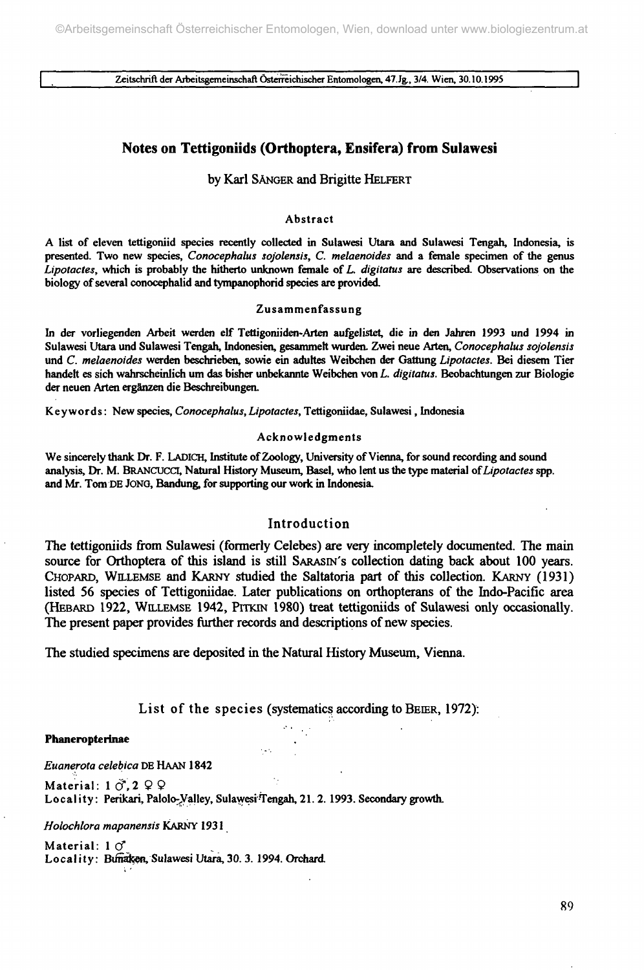**I Zeitschrift der Arbeitsgemeinschaft Österreichischer Entomologen, 47. Jg., 3/4. Wien, 30.10.1995 |**

# **Notes on Tettigoniids (Orthoptera, Ensifera) from Sulawesi**

## by Karl SÄNGER and Brigitte HELFERT

## **Abstract**

**A list of eleven tettigoniid species recently collected in Sulawesi Utara and Sulawesi Tengah, Indonesia, is presented. Two new species,** *Conocephalus sojolensis, C. melaenoides* **and a female specimen of the genus** *Lipotactes,* **which is probably the hitherto unknown female of** *L. digitatus* **are described. Observations on the biology of several conocephalid and tympanophorid species are provided.**

#### **Zusammenfassung**

**In der vorliegenden Arbeit werden elf Tettigoniiden-Arten aufgelistet, die in den Jahren 1993 und 1994 in Sulawesi Utara und Sulawesi Tengah, Indonesien, gesammelt wurden. Zwei neue Arten,** *Conocephalus sojolensis* **und** *C. melaenoides* **werden beschrieben, sowie ein adultes Weibchen der Gattung** *Lipotactes.* **Bei diesem Tier handelt es sich wahrscheinlich um das bisher unbekannte Weibchen von** *L. digitatus.* **Beobachtungen zur Biologie der neuen Arten ergänzen die Beschreibungen.**

**Keywords: New species,** *Conocephalus,Lipotactes,* **Tettigoniidae, Sulawesi, Indonesia**

## **Acknowledgments**

**We sincerely thank Dr. F. LADICH, Institute of Zoology, University of Vienna, for sound recording and sound analysis, Dr. M BRANCUCCI, Natural History Museum, Basel, who lent us the type material** *of Lipotactes* **spp. and Mr. Tom DE JoNO, Bandung, for supporting our work in Indonesia.**

## Introduction

The tettigoniids from Sulawesi (formerly Celebes) are very incompletely documented. The main source for Orthoptera of this island is still SARASIN'S collection dating back about 100 years. CHOPARD, WILLEMSE and KARNY studied the Saltatoria part of this collection. KARNY (1931) listed 56 species of Tettigoniidae. Later publications on orthopterans of the Indo-Pacific area (HEBARD 1922, WILLEMSE 1942, PITKIN 1980) treat tettigoniids of Sulawesi only occasionally. The present paper provides further records and descriptions of new species.

The studied specimens are deposited in the Natural History Museum, Vienna.

List of the species (systematics according to BEIER, 1972):

#### Phaneropterinae

*Euanerota celebica* DE HAAN 1842

Material:  $1 \circ 2$  9 9 Locality: Perikari, Palolo-Valley, Sulawesi Tengah, 21.2. 1993. Secondary growth.

*Holochlora mapanensis* **KARNY 1931**

**Material: 1 Ö"** Locality: Bunaken, Sulawesi Utara, 30. 3. 1994. Orchard.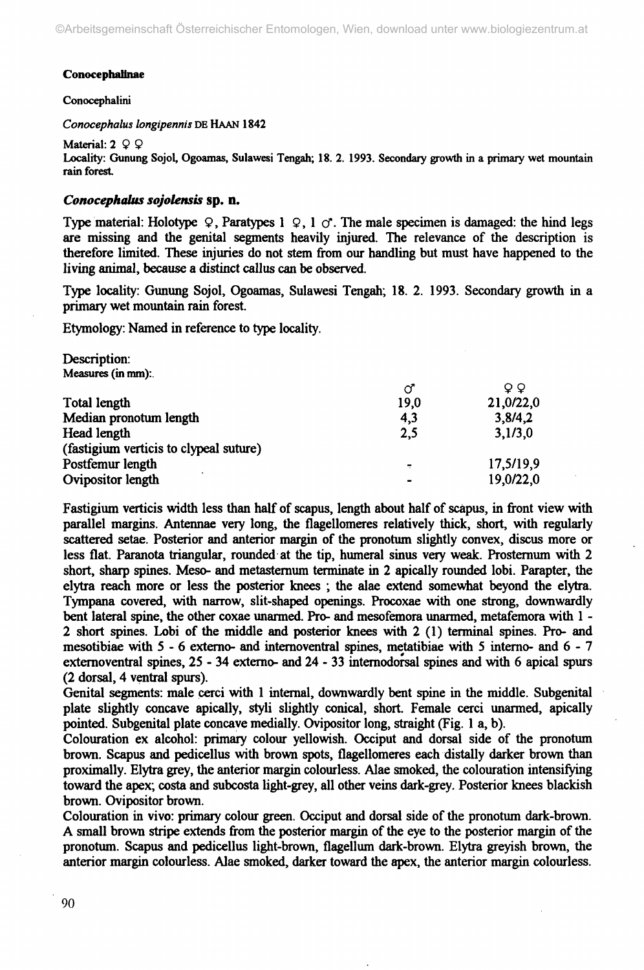## **ConocephaHnae**

## **Conocephalini**

*Conocephalus longipennis* **DE HAAN 1842**

**Material:**  $2 \varphi$ Locality: Gunung Sojol, Ogoamas, Sulawesi Tengah; 18. 2. 1993. Secondary growth in a primary wet mountain rain forest.

# *Conocephalus sojolensis* **sp. n.**

Type material: Holotype  $\mathcal{Q}$ , Paratypes 1  $\mathcal{Q}$ , 1  $\mathcal{O}$ . The male specimen is damaged: the hind legs are missing and the genital segments heavily injured. The relevance of the description is therefore limited. These injuries do not stem from our handling but must have happened to the living animal, because a distinct callus can be observed.

Type locality: Gunung Sojol, Ogoamas, Sulawesi Tengah; 18. 2. 1993. Secondary growth in a primary wet mountain rain forest.

Etymology: Named in reference to type locality.

Description: Measures (in mm):.

|      | o o       |
|------|-----------|
| 19.0 | 21,0/22,0 |
| 4,3  | 3,8/4,2   |
| 2,5  | 3,1/3,0   |
|      |           |
|      | 17,5/19,9 |
|      | 19,0/22,0 |
|      | σ         |

Fastigium verticis width less than half of scapus, length about half of scapus, in front view with parallel margins. Antennae very long, the flagellomeres relatively thick, short, with regularly scattered setae. Posterior and anterior margin of the pronotum slightly convex, discus more or less flat. Paranota triangular, rounded at the tip, humeral sinus very weak. Prosternum with 2 short, sharp spines. Meso- and metasternum terminate in 2 apically rounded lobi. Parapter, the elytra reach more or less the posterior knees ; the alae extend somewhat beyond the elytra. Tympana covered, with narrow, slit-shaped openings. Procoxae with one strong, downwardly bent lateral spine, the other coxae unarmed. Pro- and mesofemora unarmed, metafemora with 1 - 2 short spines. Lobi of the middle and posterior knees with 2 (1) terminal spines. Pro- and mesotibiae with 5- 6 externo- and internoventral spines, metatibiae with 5 interno- and 6- 7 externoventral spines, 25 - 34 extemo- and 24 - 33 internodorsal spines and with 6 apical spurs (2 dorsal, 4 ventral spurs).

Genital segments: male cerei with 1 internal, downwardly bent spine in the middle. Subgenital plate slightly concave apically, styli slightly conical, short. Female cerei unarmed, apically pointed. Subgenital plate concave medially. Ovipositor long, straight (Fig. 1 a, b).

Colouration ex alcohol: primary colour yellowish. Occiput and dorsal side of the pronotum brown. Scapus and pedicellus with brown spots, flagellomeres each distally darker brown than proximally. Elytra grey, the anterior margin colourless. Alae smoked, the colouration intensifying toward the apex; costa and subcosta light-grey, all other veins dark-grey. Posterior knees blackish brown. Ovipositor brown.

Colouration in vivo: primary colour green. Occiput and dorsal side of the pronotum dark-brown. A small brown stripe extends from the posterior margin of the eye to the posterior margin of the pronotum. Scapus and pedicellus light-brown, flagellimi dark-brown. Elytra greyish brown, the anterior margin colourless. Alae smoked, darker toward the apex, the anterior margin colourless.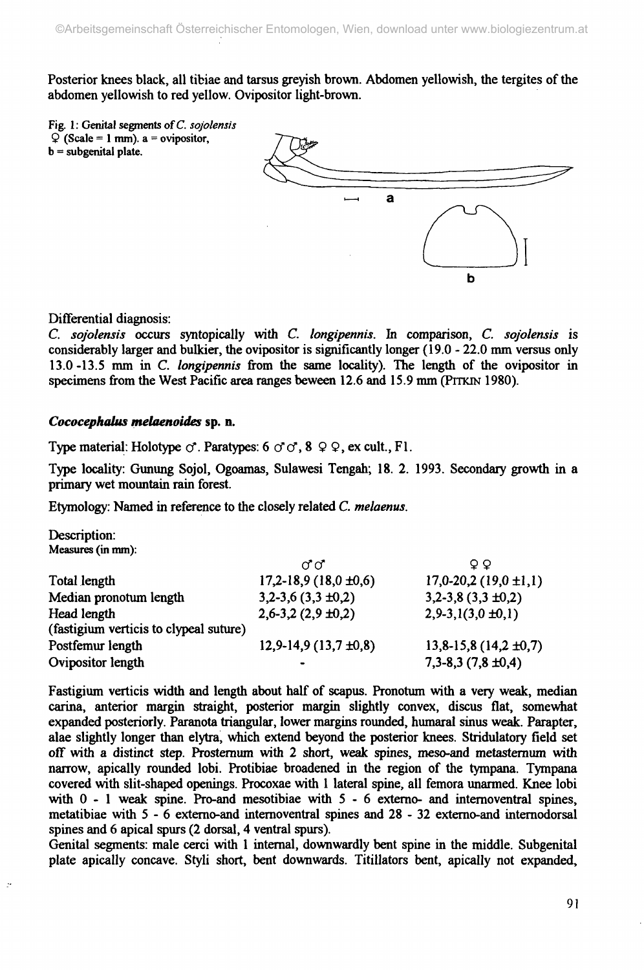Posterior knees black, all tibiae and tarsus greyish brown. Abdomen yellowish, the tergites of the abdomen yellowish to red yellow. Ovipositor light-brown.



Differential diagnosis:

G *sojolensis* occurs syntopically with G *longipennis.* In comparison, G *sojolensis* is considerably larger and bulkier, the ovipositor is significantly longer (19.0 - 22.0 mm versus only 13.0-13.5 mm in G *longipennis* from the same locality). The length of the ovipositor in specimens from the West Pacific area ranges beween 12.6 and 15.9 mm (PITKIN 1980).

# *Cococephalus melaenoides* **sp. n.**

Type material: Holotype  $\circ$ . Paratypes: 6  $\circ$   $\circ$ , 8  $\circ$   $\circ$ , ex cult., Fl.

Type locality: Gunung Sojol, Ogoamas, Sulawesi Tengah; 18. 2. 1993. Secondary growth in a primary wet mountain rain forest.

Etymology: Named in reference to the closely related G *melaenus.*

Description: **Measures (in mm):**

|                                        | ೧ಿ೧                       | O Q                       |
|----------------------------------------|---------------------------|---------------------------|
| Total length                           | $17,2-18,9(18,0 \pm 0.6)$ | $17,0-20,2(19,0 \pm 1,1)$ |
| Median pronotum length                 | $3,2-3,6(3,3 \pm 0,2)$    | $3,2-3,8(3,3\pm0,2)$      |
| Head length                            | $2,6-3,2(2,9\pm0,2)$      | $2,9-3,1(3,0 \pm 0,1)$    |
| (fastigium verticis to clypeal suture) |                           |                           |
| Postfemur length                       | $12,9-14,9(13,7 \pm 0,8)$ | $13,8-15,8(14,2 \pm 0,7)$ |
| Ovipositor length                      |                           | $7,3-8,3(7,8 \pm 0,4)$    |

Fastigium verticis width and length about half of scapus. Pronotum with a very weak, median carina, anterior margin straight, posterior margin slightly convex, discus flat, somewhat expanded posteriorly. Paranota triangular, lower margins rounded, humaral sinus weak. Parapter, alae slightly longer than elytra, which extend beyond the posterior knees. Stridulatory field set off with a distinct step. Prosternum with 2 short, weak spines, meso-and metasternum with narrow, apically rounded lobi. Protibiae broadened in the region of the tympana. Tympana covered with slit-shaped openings. Procoxae with 1 lateral spine, all femora unarmed. Knee lobi with  $0 - 1$  weak spine. Pro-and mesotibiae with  $5 - 6$  externo- and intermoventral spines, metatibiae with 5- 6 externo-and internoventral spines and 28 - 32 extemo-and intemodorsal spines and 6 apical spurs (2 dorsal, 4 ventral spurs).

Genital segments: male cerei with 1 internal, downwardly bent spine in the middle. Subgenital plate apically concave. Styli short, bent downwards. Titillators bent, apically not expanded,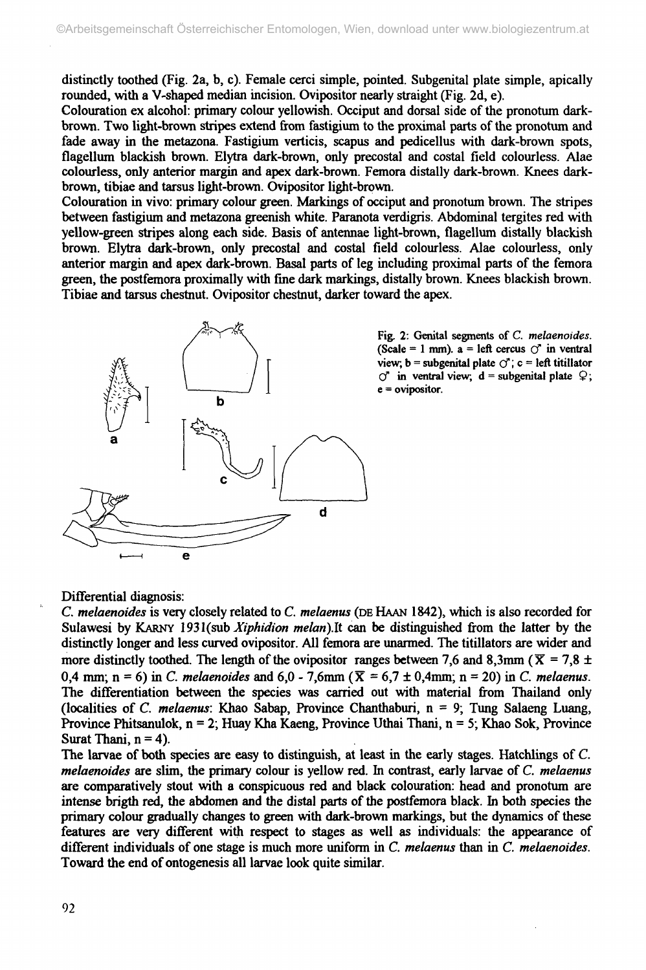distinctly toothed (Fig. 2a, b, c). Female cerei simple, pointed. Subgenital plate simple, apically rounded, with a V-shaped median incision. Ovipositor nearly straight (Fig. 2d, e).

Colouration ex alcohol: primary colour yellowish. Occiput and dorsal side of the pronotum darkbrown. Two light-brown stripes extend from fastigium to the proximal parts of the pronotum and fade away in the metazona. Fastigium verticis, scapus and pedicellus with dark-brown spots, flagellimi blackish brown. Elytra dark-brown, only precostai and costal field colourless. Alae colourless, only anterior margin and apex dark-brown. Femora distally dark-brown. Knees darkbrown, tibiae and tarsus light-brown. Ovipositor light-brown.

Colouration in vivo: primary colour green. Markings of occiput and pronotum brown. The stripes between fastigium and metazona greenish white. Paranota verdigris. Abdominal tergites red with yellow-green stripes along each side. Basis of antennae light-brown, flagellum distally blackish brown. Elytra dark-brown, only precostai and costal field colourless. Alae colourless, only anterior margin and apex dark-brown. Basal parts of leg including proximal parts of the femora green, the postfemora proximally with fine dark markings, distally brown. Knees blackish brown. Tibiae and tarsus chestnut. Ovipositor chestnut, darker toward the apex.



**Fig. 2: Genital segments of** *C. melaenoides.* (Scale = 1 mm).  $a = left$  cercus  $\circ$ <sup>\*</sup> in ventral view,  $\mathbf{b}$  = subgenital plate  $\mathcal{O}'$ ;  $\mathbf{c}$  = left titillator  $\circlearrowleft$  in ventral view;  $d$  = subgenital plate  $\circledcirc$ ; **e = ovipositor.**

Differential diagnosis:

*C. melaenoides* is very closely related to *C. melaenus* (DEHAAN 1842), which is also recorded for Sulawesi by KARNY 1931 (sub *Xiphidion melan*). It can be distinguished from the latter by the distinctly longer and less curved ovipositor. All femora are unarmed. The titillators are wider and more distinctly toothed. The length of the ovipositor ranges between 7,6 and 8,3mm ( $\bar{X} = 7.8 \pm 10^{-10}$ ) 0,4 mm; n = 6) in *C. melaenoides* and 6,0 - 7,6mm ( $\bar{X}$  = 6,7 ± 0,4mm; n = 20) in *C. melaenus.* The differentiation between the species was carried out with material from Thailand only (localities of *C. melaenus:* Khao Sabap, Province Chanthaburi, n = 9; Tung Salaeng Luang, Province Phitsanulok,  $n = 2$ ; Huay Kha Kaeng, Province Uthai Thani,  $n = 5$ ; Khao Sok, Province Surat Thani,  $n = 4$ ).

The larvae of both species are easy to distinguish, at least in the early stages. Hatchlings of C. *melaenoides* are slim, the primary colour is yellow red. In contrast, early larvae of *C. melaenus* are comparatively stout with a conspicuous red and black colouration: head and pronotum are intense brigth red, the abdomen and the distal parts of the postfemora black. In both species the primary colour gradually changes to green with dark-brown markings, but the dynamics of these features are very different with respect to stages as well as individuals: the appearance of different individuals of one stage is much more uniform in *C. melaenus* than in *C. melaenoides.* Toward the end of ontogenesis all larvae look quite similar.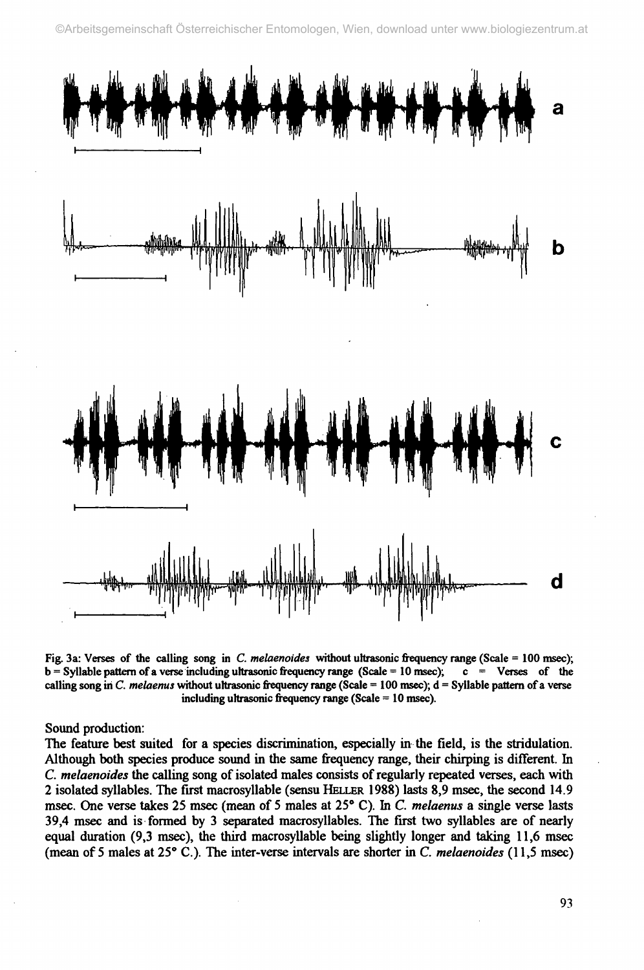

**Fig. 3a: Verses of the calling song in** *C. melaenoides* **without ultrasonic frequency range (Scale = 100 msec); b = Syllable pattern of a verse including ultrasonic frequency range (Scale = 10 msec); c = Verses of the calling song in** *C. melaenus* **without ultrasonic frequency range (Scale =10 0 msec); d = Syllable pattern of a verse including ultrasonic frequency range (Scale =1 0 msec).**

Sound production:

The feature best suited for a species discrimination, especially in the field, is the stridulation. Although both species produce sound in the same frequency range, their chirping is different. In *C. melaenoides* the calling song of isolated males consists of regularly repeated verses, each with 2 isolated syllables. The first macrosyllable (sensu HELLER 1988) lasts 8,9 msec, the second 14.9 msec. One verse takes 25 msec (mean of 5 males at 25° C). In *C. melaenus* a single verse lasts 39,4 msec and is formed by 3 separated macrosyllables. The first two syllables are of nearly equal duration (9,3 msec), the third macrosyllable being slightly longer and taking 11,6 msec (mean of 5 males at 25° C.). The inter-verse intervals are shorter in C. *melaenoides* (11,5 msec)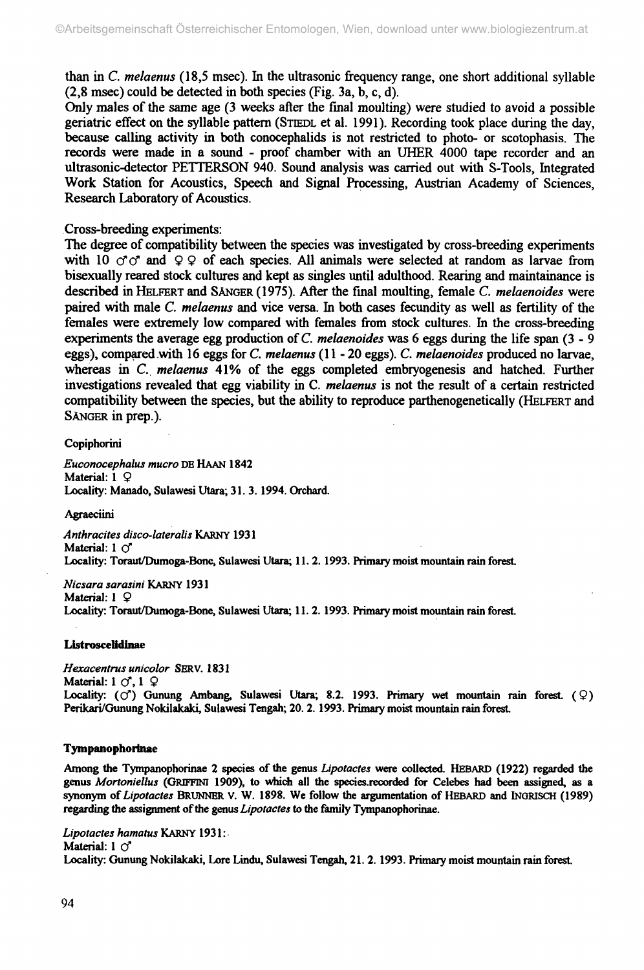than in *C. melaenus* (18,5 msec). In the ultrasonic frequency range, one short additional syllable (2,8 msec) could be detected in both species (Fig. 3a, b, c, d).

Only males of the same age (3 weeks after the final moulting) were studied to avoid a possible geriatric effect on the syllable pattern (STEEDL et al. 1991). Recording took place during the day, because calling activity in both conocephalids is not restricted to photo- or scotophasis. The records were made in a sound - proof chamber with an UHER 4000 tape recorder and an ultrasonic-detector PETTERSON 940. Sound analysis was carried out with S-Tools, Integrated Work Station for Acoustics, Speech and Signal Processing, Austrian Academy of Sciences, Research Laboratory of Acoustics.

# Cross-breeding experiments:

The degree of compatibility between the species was investigated by cross-breeding experiments with 10  $\sigma \sigma$  and 9 9 of each species. All animals were selected at random as larvae from bisexually reared stock cultures and kept as singles until adulthood. Rearing and maintainance is described in HELFERT and SÄNGER (1975). After the final moulting, female *C. melaenoides* were paired with male C. *melaenus* and vice versa. In both cases fecundity as well as fertility of the females were extremely low compared with females from stock cultures. In the cross-breeding experiments the average egg production of *C. melaenoides* was 6 eggs during the life span (3- 9 eggs), compared with 16 eggs for *C. melaenus* (11 - 20 eggs). *C. melaenoides* produced no larvae, whereas in *C. melaenus* 41% of the eggs completed embryogenesis and hatched. Further investigations revealed that egg viability in C. *melaenus* is not the result of a certain restricted compatibility between the species, but the ability to reproduce parthenogenetically (HELFERT and SÄNGER in prep.).

# Copiphorini

*Euconocephalus mucro* DB HAAN 1842 Material: 1 *Q* Locality: Manado, Sulawesi Utara; 31.3. 1994. Orchard.

# **Agraeciini**

*Anthracites disco-lateralis* KARNY 1931 Material:  $1 \circ$ Locality: Toraut/Dumoga-Bone, Sulawesi Utara; 11. 2. 1993. Primary moist mountain rain forest.

*Nicsara sarasini* KARNY 1931 Material:  $1 \n\mathcal{Q}$ Locality: Toraut/Dumoga-Bone, Sulawesi Utara; 11. 2. 1993. Primary moist mountain rain forest.

## **Listroscelidinae**

*Hexacentrus unicolor* SERV. 1831 Material: 1 *(f,* 1 *Q* Locality:  $(\circ)$  Gunung Ambang, Sulawesi Utara; 8.2. 1993. Primary wet mountain rain forest.  $(\circ)$ Perikari/Gunung Nokilakaki, Sulawesi Tengah; 20.2. 1993. Primary moist mountain rain forest

# **Tympanophorinae**

Among the Tympanophorinae 2 species of the genus *Lipotactes* were collected. HEBARD (1922) regarded the genus *Mortoniellus* (GRIFFINI 1909), to which all the species.recorded for Celebes had been assigned, as a synonym of *Lipotactes* BRUNNER V. W. 1898. We follow the argumentation of HEBARD and INGRISCH (1989) regarding the assignment of the genus *Lipotactes* to the family Tympanophorinae.

*Lipotactes hamatus* KARNY 1931 : Material:  $1 \circ$ Locality: Gunung Nokilakaki, Lore Lindu, Sulawesi Tengah, 21.2. 1993. Primary moist mountain rain forest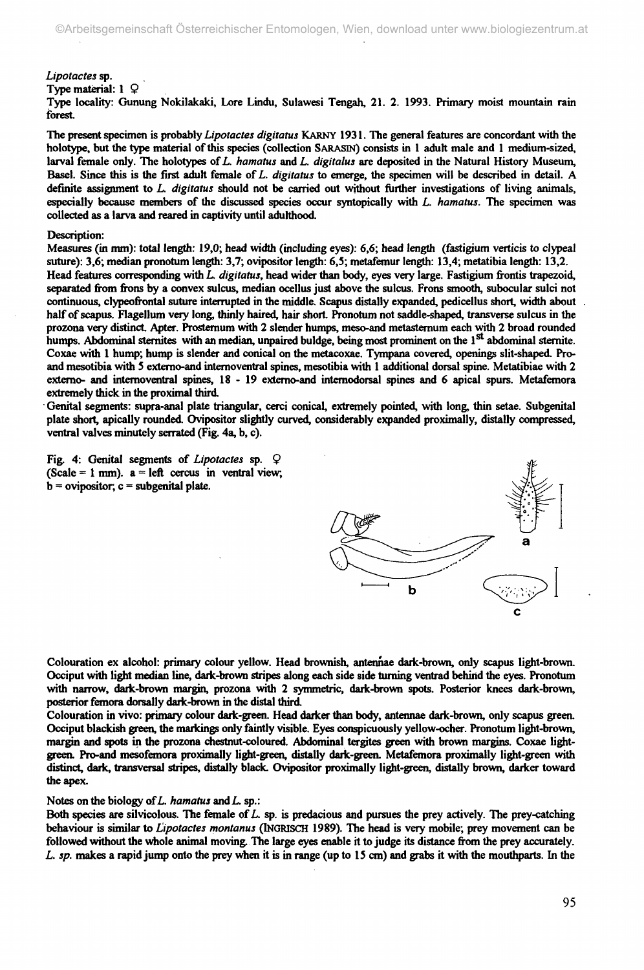#### *Lipotactes* **sp.**

**Type material: 1 Q**

**Type locality: Gunung Nokilakaki, Lore Lindu, Sulawesi Tengah, 21. 2. 1993. Primary moist mountain rain forest.**

**The present specimen is probably** *Lipotactes digitatus* **KARNY 1931. The general features are concordant with the holotype, but the type material of this species (collection SARASIN) consists in 1 adult male and 1 medium-sized, larval female only. The holotypes of** *L. hamatus* **and** *L. digitalus* **are deposited in the Natural History Museum, Basel. Since this is the first adult female of** *L. digitatus* **to emerge, the specimen will be described in detail. A definite assignment to** *L. digitatus* **should not be carried out without further investigations of living animals, especially because members of the discussed species occur syntopically with** *L. hamatus.* **The specimen was collected as a larva and reared in captivity until adulthood.**

#### **Description:**

**Measures (in mm): total length: 19,0; head width (including eyes):** *6,6;* **head length (fastigium verticis to clypeal suture): 3,6; median pronotum length: 3,7; ovipositor length: 6,5; metafemur length: 13,4; metatibia length: 13,2. Head features corresponding with** *L digitatus,* **head wider than body, eyes very large. Fastigium frontis trapezoid, separated from frons by a convex sulcus, median ocellus just above the sulcus. Frons smooth, subocular sulci not continuous, clypeofrontal suture interrupted in the middle. Scapus distally expanded, pedicellus short, width about half of scapus. Flagellum very long, thinly haired, hair short. Pronotum not saddle-shaped, transverse sulcus in the prozona very distinct Apter. Prosternum with 2 slender humps, meso-and metasternum each with 2 broad rounded** humps. Abdominal sternites with an median, unpaired buldge, being most prominent on the 1<sup>st</sup> abdominal sternite. **Coxae with 1 hump; hump is slender and conical on the metacoxae. Tympana covered, openings slit-shaped. Proand mesotibia with 5 extemo-and internoventral spines, mesotibia with 1 additional dorsal spine. Metatibiae with 2 externo- and internoventral spines, 18-1 9 extemo-and internodorsal spines and 6 apical spurs. Metafemora extremely thick in the proximal third.**

**Genital segments: supra-anal plate triangular, cerei conical, extremely pointed, with long, thin setae. Subgenital plate short, apically rounded. Ovipositor slightly curved, considerably expanded proximally, distally compressed, ventral valves minutely serrated (Fig. 4a, b, c).**

**Fig. 4: Genital segments of** *Lipotactes* **sp. Ç (Scale = 1 mm), a = left cercus in ventral view, b = ovipositor, c = subgenital plate.**



**Colouration ex alcohol: primary colour yellow. Head brownish, antennae dark-brown, only scapus light-brown. Occiput with light median line, dark-brown stripes along each side side turning ventrad behind the eyes. Pronotum with narrow, dark-brown margin, prozona with 2 symmetric, dark-brown spots. Posterior knees dark-brown, posterior femora dorsally dark-brown in the distal third.**

**Colouration in vivo: primary colour dark-green. Head darker than body, antennae dark-brown, only scapus green. Occiput blackish green, the markings only faintly visible. Eyes conspicuously yellow-ocher. Pronotum light-brown, margin and spots in the prozona chestnut-coloured. Abdominal tergites green with brown margins. Coxae lightgreen. Pro-and mesofemora proximally light-green, distally dark-green. Metafemora proximally light-green with distinct, dark, transversal stripes, distally black. Ovipositor proximally light-green, distally brown, darker toward the apex.**

### **Notes on the biology of** *L. hamatus* **andL. sp.:**

**Both species are silvicolous. The female of** *L.* **sp. is predacious and pursues the prey actively. The prey-catching behaviour is similar to** *Lipotactes montanus* **(INORISCH 1989). The head is very mobile; prey movement can be followed without the whole animal moving. The large eyes enable it to judge its distance from the prey accurately.** *L. sp.* **makes a rapid jump onto the prey when it is in range (up to 15 cm) and grabs it with the mouthparts. In the**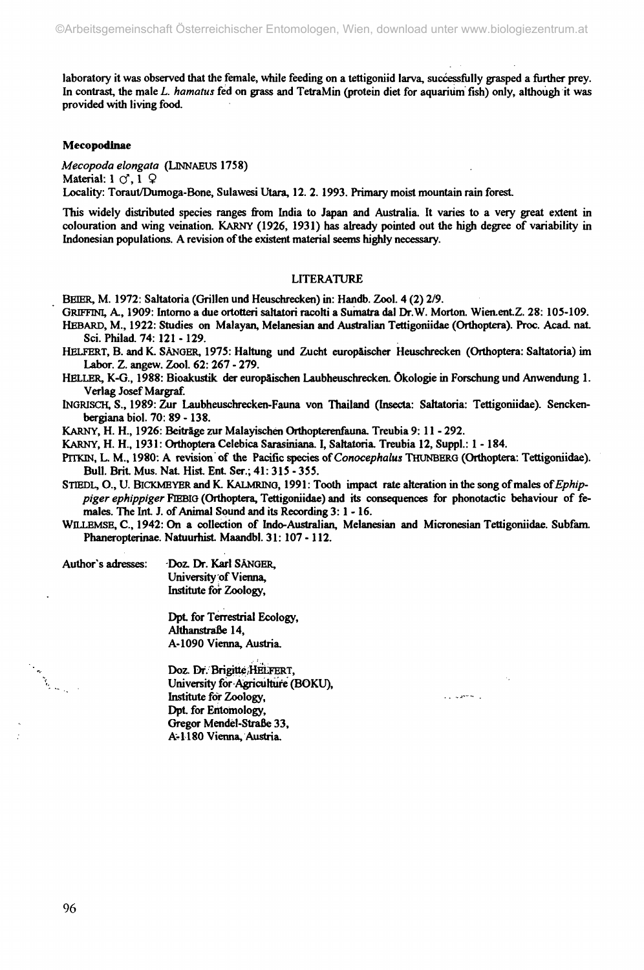**laboratory it was observed that the female, while feeding on a tettigoniid larva, successfully grasped a further prey. In contrast, the male** *L. hamatus* **fed on grass and TetraMin (protein diet for aquarium fish) only, although it was provided with living food.**

#### **Mecopodinae**

*Mecopoda elongata* **(LINNAEUS 1758) Material:** 1  $\circ$ , 1  $\circ$ **Locality: Toraut/Dumoga-Bone, Sulawesi Utara, 12. 2.1993. Primary moist mountain rain forest**

**This widely distributed species ranges from India to Japan and Australia. It varies to a very great extent in colouration and wing veination. KARNY (1926, 1931) has already pointed out the high degree of variability in Indonesian populations. A revision of the existent material seems highly necessary.**

#### **LITERATURE**

**BEER, M. 1972: Saltatoria (Grillen und Heuschrecken) in: Handb. Zool. 4 (2) 2/9.**

GRIFFINI, A., 1909: Intorno a due ortotteri saltatori racolti a Sumatra dal Dr.W. Morton. Wien.ent.Z. 28: 105-109. **HEBARD, M., 1922: Studies on Malayan, Melanesian and Australian Tettigoniidae (Orthoptera). Proc. Acad. nat**

**Sci. Philad. 74: 121 -129.**

**HELFERT, B. andK. SÄNGER, 1975: Haltung und Zucht europäischer Heuschrecken (Orthoptera: Saltatoria) im Labor. Z. angew. Zool. 62: 267 - 279.**

**HELLER, K-G., 1988: Bioakustik der europäischen Laubheuschrecken. Ökologie in Forschung und Anwendung 1. Verlag Josef Margraf.**

**INGRISCH, S., 1989: Zur Laubheuschrecken-Fauna von Thailand (Inserta: Saltatoria: Tettigoniidae). Senckenbergiana biol. 70: 89 -138.**

**KARNY, H. H., 1926: Beiträge zur Malayischen Orthopterenfauna. Treubia 9: 11 - 292.**

KARNY, H. H., 1931: Orthoptera Celebica Sarasiniana. I, Saltatoria. Treubia 12, Suppl.: 1 - 184.

**PlTKIN, L. M., 1980: A revision of the Pacific species of** *Conocephalus* **THUNBERG (Orthoptera: Tettigoniidae). Bull. Brit Mus. Nat Hist Ent Ser.; 41:315 - 355.**

**SiTEDL, O., U. BlCKMEYER and K. KALMRING, 1991 : Tooth impact rate alteration in the song of males of** *Ephippiger ephippiger* **FIEBIG (Orthoptera, Tettigoniidae) and its consequences for phonotactic behaviour of fe**males. The Int. J. of Animal Sound and its Recording 3: 1 - 16.

**WILLEMSE, C , 1942: On a collection of Indo-Australian, Melanesian and Micronesian Tettigoniidae. Subfam.** Phaneropterinae. Natuurhist. Maandbl. 31: 107 - 112.

Author's adresses: Doz. Dr. Karl SÄNGER, **University of Vienna, Institute for Zoology,**

> Dpt. for Terrestrial Ecology, **Althanstraße 14, A-1090 Vienna, Austria.**

**Doz. Dr. Brigitt^/HEtFERT, University for Agriculture (BOKU), Institute for Zoology, ••-••--** Dpt. for Entomology, **Gregor Mendel-Straße 33, A-1180 Vienna, Austria.**